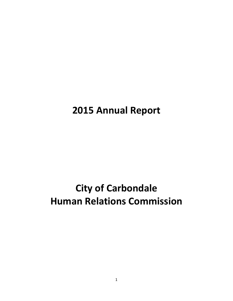# **2015 Annual Report**

# **City of Carbondale Human Relations Commission**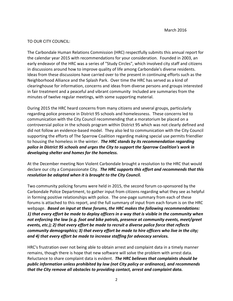### TO OUR CITY COUNCIL:

The Carbondale Human Relations Commission (HRC) respectfully submits this annual report for the calendar year 2015 with recommendations for your consideration. Founded in 2003, an early endeavor of the HRC was a series of "Study Circles", which involved city staff and citizens in discussions around how to improve quality of life among Carbondale's diverse residents. Ideas from these discussions have carried over to the present in continuing efforts such as the Neighborhood Alliance and the Splash Park. Over time the HRC has served as a kind of clearinghouse for information, concerns and ideas from diverse persons and groups interested in fair treatment and a peaceful and vibrant community Included are summaries from the minutes of twelve regular meetings, with some supporting material.

During 2015 the HRC heard concerns from many citizens and several groups, particularly regarding police presence in District 95 schools and homelessness. These concerns led to communication with the City Council recommending that a moratorium be placed on a controversial police in the schools program within District 95 which was not clearly defined and did not follow an evidence‐based model. They also led to communication with the City Council supporting the efforts of The Sparrow Coalition regarding making special use permits friendlier to housing the homeless in the winter. *The HRC stands by its recommendation regarding police in District 95 schools and urges the City to support the Sparrow Coalition's work in developing shelter and homes for the homeless.*

At the December meeting Non Violent Carbondale brought a resolution to the HRC that would declare our city a Compassionate City. *The HRC supports this effort and recommends that this resolution be adopted when it is brought to the City Council.*

Two community policing forums were held in 2015, the second forum co‐sponsored by the Carbondale Police Department, to gather input from citizens regarding what they see as helpful in forming positive relationships with police. The one‐page summary from each of these forums is attached to this report, and the full summary of input from each forum is on the HRC webpage. *Based on input at these forums, the HRC makes the following recommendations:*  1) that every effort be made to deploy officers in a way that is visible in the community when *not enforcing the law (e.g. foot and bike patrols, presence at community events, meet/greet events, etc.); 2) that every effort be made to recruit a diverse police force that reflects community demographics; 3) that every effort be made to hire officers who live in the city; and 4) that every effort be made to increase staffing for advocacy services.*

HRC's frustration over not being able to obtain arrest and complaint data in a timely manner remains, though there is hope that new software will solve the problem with arrest data. Reluctance to share complaint data is evident. *The HRC believes that complaints should be public information unless prohibited by law (not City policy or ordinance), and recommends that the City remove all obstacles to providing contact, arrest and complaint data.*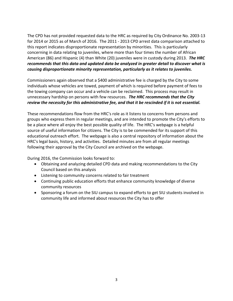The CPD has not provided requested data to the HRC as required by City Ordinance No. 2003‐13 for 2014 or 2015 as of March of 2016. The 2011 ‐ 2013 CPD arrest data comparison attached to this report indicates disproportionate representation by minorities. This is particularly concerning in data relating to juveniles, where more than four times the number of African American (86) and Hispanic (4) than White (20) juveniles were in custody during 2013. *The HRC recommends that this data and updated data be analyzed in greater detail to discover what is causing disproportionate minority representation, particularly as it relates to juveniles.* 

Commissioners again observed that a \$400 administrative fee is charged by the City to some individuals whose vehicles are towed, payment of which is required before payment of fees to the towing company can occur and a vehicle can be reclaimed. This process may result in unnecessary hardship on persons with few resources. *The HRC recommends that the City* review the necessity for this administrative fee, and that it be rescinded if it is not essential.

These recommendations flow from the HRC's role as it listens to concerns from persons and groups who express them in regular meetings, and are intended to promote the City's efforts to be a place where all enjoy the best possible quality of life. The HRC's webpage is a helpful source of useful information for citizens. The City is to be commended for its support of this educational outreach effort. The webpage is also a central repository of information about the HRC's legal basis, history, and activities. Detailed minutes are from all regular meetings following their approval by the City Council are archived on the webpage.

During 2016, the Commission looks forward to:

- Obtaining and analyzing detailed CPD data and making recommendations to the City Council based on this analysis
- Listening to community concerns related to fair treatment
- Continuing public education efforts that enhance community knowledge of diverse community resources
- Sponsoring a forum on the SIU campus to expand efforts to get SIU students involved in community life and informed about resources the City has to offer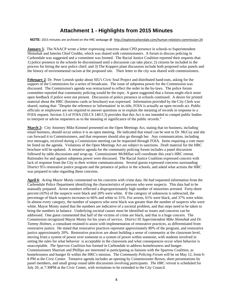# **Attachment 1** ‐ **Highlights from 2015 Minutes**

NOTE: 2015 minutes are archived on the HRC webpage @ http://explorecarbondale.com/human-relations-commission-24

**January 5**: The NAACP wrote a letter expressing concerns about CPD presence in schools to Superintendent Shimshak and Interim Chief Grubbs, which was shared with commissioners. A forum to discuss policing in Carbondale was suggested and a committee was formed. The Racial Justice Coalition reported their requests that: 1) police presence in the schools be discontinued until a discussion can take place; 2) citizens be included in the process for hiring the next police chief; and 3) The Koppers plant discussion include both proposed solar panels and the history of environmental racism at the proposed site. Their letter to the city was shared with commissioners.

**February 2**: Dr. Peter Lemish spoke about SIU's Civic Soul Project and distributed hand-outs, asking for the support of the Commission for a series of broadcasts. The issue of subpoena power for the Commission was discussed. The Commission's agenda was restructured to reflect the order in the by-laws. The police forum committee reported that community policing would be the topic. A guest suggested that a forum might elicit more open feedback if police were not present. Discussion of police presence in schools continued. A desire for printed material about the HRC (business cards or brochure) was expressed. Information provided by the City Clerk was shared, stating that: "Despite the reference to 'information' in its title, FOIA is actually an open records act. Public officials or employees are not required to answer questions or to explain the meaning of records in response to a FOIA request. Section 3.3 of FOIA (5ILCS 140/3.3) provides that this Act is not intended to compel public bodies to interpret or advise requesters as to the meaning or significance of the public records."

**March 2:** City Attorney Mike Kimmel presented on the Open Meetings Act, stating that no business, including email business, should occur unless it is an open meeting. He indicated that email can be sent to Dr. McCoy and she can forward it to Commissioners, and that responses should also go through her. Any communication, including text messages, received during a Commission meeting can be requested through FOIA. Items requiring a vote must be listed on the agenda. Violations of the Open Meetings Act are subject to sanctions. Draft material for the HRC brochure will be updated. A tentative agenda for the community policing forum includes a panel discussion followed by table discussions and wrap-up. Commissioner McMillan will coordinate this year's HRC retreat. Rationales for and against subpoena power were discussed. The Racial Justice Coalition expressed concern with lack of response from the City to their written communications. Several guests expressed concerns surrounding District 95's restorative justice program and the presence of police in the schools, and asked what actions the HRC was prepared to take regarding these concerns.

**April 6**: *Acting Mayor Monty* commented on his concerns with crime data. He had requested information from the Carbondale Police Department identifying the characteristics of persons who were suspects. This data had to be manually prepared. Arrest numbers reflected a disproportionately high number of minorities arrested. Forty-three percent (43%) of the suspects were black and 20% were white. If the category of unknowns is subtracted, the percentage of black suspects increases to 66% and white to 31%. For arrests, 61% were black, and 37% were white. In almost every category, the number of suspects who were black was greater than the number of suspects who were white. Mayor Monty stated that the numbers are indicative of a societal problem, and that steps need to be taken to bring the numbers in balance. Underlying societal causes must be identified so issues and concerns can be addressed. One guest commented that half of the victims of crime are black, and that is a huge concern. The Commission recognized Mayor Monty for his years of service. *District 95 Superintendent Mike Shimshak and Dr. Tammy Holmes*, a consultant retained to assist with implementation of restorative practices, as differentiated from restorative justice. He stated that restorative practices represent approximately 80% of the program, and restorative justice approximately 20%. Restorative practices are about building a sense of community at the classroom level, moving from a system of power over someone to a system of power within someone, with students involved in setting the rules for what behavior is acceptable in the classroom and what consequences occur when behavior is unacceptable. *The Sparrow Coalition* has formed in Carbondale to address homelessness and hunger. Commissioners Sharriati and Phillips are interested in participating as liaisons with the Sparrow Coalition, as homelessness and hunger fit within the HRC's mission. The *Community Policing Forum* will be on May 12, from 6- 8 PM at the Civic Center. Tentative agenda includes an opening by Commissioner Brown, short presentations by panel members, and small group round table discussions involving participants. *The HRC retreat* is scheduled for July 20, at 7:30PM at the Civic Center, with invitations to be extended to the City Council.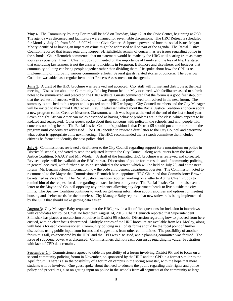**May 4**: The Community Policing Forum will be held on Tuesday, May 12, at the Civic Center, beginning at 7:30. The agenda was discussed and facilitators were named for seven table discussions. The HRC Retreat is scheduled for Monday, July 20, from 5:00 - 8:00PM at the Civic Center. Subpoena power and how the social issues Mayor Monty identified as having an impact on crime might be addressed will be part of the agenda. The Racial Justice Coalition reported that issues regarding Kopper's/Brightfield's remain of concern, as are issues regarding police in the schools. Chair Hennrich commented that no statement would be made by the HRC until hearing from as many sources as possible. Interim Chief Grubbs commented on the importance of family and the loss of life. He stated that embracing lawlessness is not the answer to incidents in Ferguson, Baltimore and elsewhere, and believes that community policing can bring people together rather than dividing them. He spoke about how the CPD is reimplementing or improving various community efforts. Several guests related stories of concern. The Sparrow Coalition was added as a regular item under Process Assessments on the agenda.

**June 1**: A draft of the HRC brochure was reviewed and accepted. City staff will format and distribute at the next meeting. Discussion about the Community Policing Forum held in May occurred, with facilitators asked to submit notes to be summarized and placed on the HRC website. Guests commented that the forum is a good first step, but that the real test of success will be follow-up. It was agreed that police need to involved in the next forum. The summary is attached to this report and is posted on the HRC webpage. City Council members and the City Manager will be invited to the annual HRC retreat. Rev. Ingebritsen talked about the Racial Justice Coalition's concern about a new program called Creative Measures Classroom, which was begun at the end of the end of the last school year. Seven or eight African American males described as having behavior problems are in the class, which appears to be isolated and segregated. Other guests spoke about their concerns with police in the schools, and with people with concerns not being heard. The Racial Justice Coalition's position is that District 95 should put a moratorium on the program until concerns are addressed. The HRC decided to review a draft letter to the City Council and determine what action is appropriate at its next meeting. The HRC recommended that a search committee that includes citizens be formed to identify the next police chief.

**July 6**: Commissioners reviewed a draft letter to the City Council regarding support for a moratorium on police in District 95 schools, and voted to send the adjusted letter to the City Council, along with letters from the Racial Justice Coalition, NAACP and Mr. Whelan. A draft of the formatted HRC brochure was reviewed and corrected. Revised copies will be available at the HRC retreat. Discussion of police forum results and of community policing in general occurred, with further discussion scheduled at the retreat, which will be held on July 20, and at the next forum. Mr. Lenzini offered information how the code enforcement department operates. The Commission voted to recommend to the Mayor that Commissioner Hennrich be re-appointed HRC Chair and that Commissioner Brown be retained as Vice Chair. The Racial Justice Coalition reported working on a letter to Acting Chief Grubbs to remind him of the request for data regarding contacts broken out by race. The Racial Justice Coalition also sent a letter to the Mayor and Council opposing any ordinance allowing city department heads to live outside the city limits. The Sparrow Coalition continues to work on gathering information about resources and options for meeting housing and shelter needs for the homeless. City Manager Baity reported that new software is being implemented by the CPD that should make getting data easier.

**August 3**: City Manager Baity requested that the HRC provide a list of five questions for inclusion in interviews with candidates for Police Chief, no later than August 14, 2015. Chair Hennrich reported that Superintendent Shimshak has placed a moratorium on police in District 95 schools. Discussion regarding how to proceed from here ensued, with no clear focus determined. Multiple copies of the HRC brochure are available from Ms. McCoy, along with labels for each commissioner. Community policing in all of its forms should be the focal point of further discussion, using public input from forums and suggestions from other communities. The possibility of another forum this fall, co-sponsored by the HRC and the CPD was discussed, and a planning committee was formed. The issue of subpoena power was discussed. Commissioners did not reach consensus regarding its value. Frustration with lack of CPD data remains.

**September 14:** Commissioners agreed to table the possibility of a forum involving District 95, and to focus on a second community policing forum in November, co-sponsored by the HRC and the CPD in a format similar to the April forum. There is also the possibility of a forum on campus in the spring semester, with the hope that more students will be involved. One guest spoke about the need to educate the public regarding their rights and police policy and procedures, also on getting input on police in the schools from all segments of the community at large.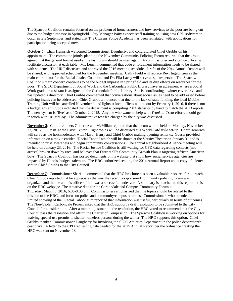The Sparrow Coalition remains focused on the problem of homelessness and how services to the poor are being cut due to the budget impasse in Springfield. City Manager Baity expects staff training on using new CPD software to occur in late September, and stated that The Citizens Police Academy has been reinstated, with applications for participation being accepted now.

**October 5**: Chair Hennrich welcomed Commissioner Daugherty, and congratulated Chief Grubbs on his appointment. The committee jointly planning the November Community Policing Forum reported that the group agreed that the general format used at the last forum should be used again. A commissioner and a police officer will facilitate discussion at each table. Mr. Lenzini commented that code enforcement information needs to be shared with students. The HRC discussed and approved the 2016 meeting schedule. Drafts of the 2014 Annual Report will be shared, with approval scheduled for the November meeting. Cathy Field will replace Rev. Ingebritsen as the main coordinator for the Racial Justice Coalition, and Dr. Ella Lacey will serve as spokesperson. The Sparrow Coalition's main concern continues to be the budget impasse in Springfield and its dire effects on resources for the poor. The SIUC Department of Social Work and the Carbondale Public Library have an agreement where a Social Work graduate assistant is assigned to the Carbondale Public Library. She is coordinating a winter cover drive and has updated a directory. Chief Grubbs commented that conversations about social issues need to be addressed before policing issues can be addressed. Chief Grubbs announced that due to the lack of state funding, the local Mobile Training Unit will be cancelled November 1 and lights at local offices will be out by February 1, 2016, if there is not a budget. Chief Grubbs indicated that the department is compiling 2014 statistics by hand to match the 2013 reports. The new system is "live" as of October 2, 2015. Anyone who wants to help with *Trunk or Treat* efforts should get in touch with Dr. McCoy. The administrative tow fee charged by the city was discussed.

**November 2**: Commissioners Gutierrez and McMillan reported that the forum will be held on Monday, November 23, 2015, 6:00 p.m. at the Civic Center. Eight topics will be discussed at a World Café style set-up. Chair Hennrich will serve as the host/moderator with Mayor Henry and Chief Grubbs making opening remarks. Guests provided information on a movie entitled "Racial Taboo" which will be shown at the Varsity Theater on January 31 and is intended to raise awareness and begin community conversations. The annual Neighborhood Alliance meeting will be held on January 23, 2016. The Racial Justice Coalition is still waiting for CPD data regarding contacts (not arrests) broken down by race, and believes that District 95's Community Growth Plan is targeting African American boys. The Sparrow Coalition has posted documents on its website that show how social service agencies are impacted by Illinois' budget stalemate. The HRC authorized sending the 2014 Annual Report and a copy of a letter sent to Chief Grubbs to the City Council.

**December 7**: Commissioner Shariati commented that the HRC brochure has been a valuable resource for outreach. Chief Grubbs reported that he appreciates the way the recent co-sponsored community policing forum was organized and that he and his officers felt it was a successful endeavor. A summary is attached to this report and is on the HRC webpage. The tentative date for the Carbondale and Campus Community Forum is Thursday, March 3, 2016, 6:00-8:00 p.m. Commissioners emphasized that the topics should be related to the mission of the HRC, and focus on police and community/campus relations. Commissioners who attended the limited showing of the "Racial Taboo" film reported that information was useful, particularly in terms of outcomes. The Non-Violent Carbondale Project asked that the HRC support a draft resolution to be submitted to the City Council for consideration. After a minor adjustment to the resolution, the HRC voted to recommend that the City Council pass the resolution and affirm the Charter of Compassion. The Sparrow Coalition is working on options for waiving special use permits to shelter homeless persons during the winter. The HRC supports this option. Chief Grubbs thanked Commissioner Daugherty for involving the SIUC Athletics Department in the police department's coat drive. A letter to the CPD requesting data needed for the 2015 Annual Report per the ordinance creating the HRC was sent on November 13.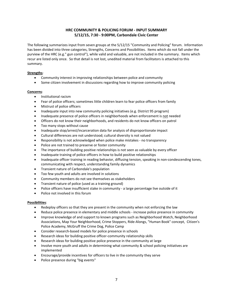#### **HRC COMMUNITY & POLICING FORUM ‐ INPUT SUMMARY 5/12/15, 7:30 ‐ 9:00PM, Carbondale Civic Center**

The following summarizes input from seven groups at the 5/12/15 "Community and Policing" forum. Information has been divided into three categories, Strengths, Concerns and Possibilities. Items which do not fall under the purview of the HRC (e.g." gun control"), while valid and valuable, are not included in the summary. Items which recur are listed only once. So that detail is not lost, unedited material from facilitators is attached to this summary.

#### **Strengths**:

- Community interest in improving relationships between police and community
- Some citizen involvement in discussions regarding how to improve community policing

#### **Concerns**:

- **•** Institutional racism
- Fear of police officers; sometimes little children learn to fear police officers from family
- Mistrust of police officers
- Inadequate input into new community policing initiatives (e.g. District 95 program)
- Inadequate presence of police officers in neighborhoods when enforcement is not needed
- Officers do not know their neighborhoods, and residents do not know officers on patrol
- Too many stops without cause
- Inadequate stop/arrest/incarceration data for analysis of disproportionate impact
- Cultural differences are not understood; cultural diversity is not valued
- Responsibility is not acknowledged when police make mistakes ‐ no transparency
- Police are not trained to preserve or foster community
- The importance of building positive relationships is not seen as valuable by every officer
- Inadequate training of police officers in how to build positive relationships
- Inadequate officer training in reading behavior, diffusing tension, speaking in non-condescending tones, communicating with respect, understanding family dynamics
- **•** Transient nature of Carbondale's population
- Too few youth and adults are involved in solutions
- Community members do not see themselves as stakeholders
- Transient nature of police (used as a training ground)
- Police officers have insufficient stake in community a large percentage live outside of it
- Police not involved in this forum

#### **Possibilities**:

- Redeploy officers so that they are present in the community when not enforcing the law
- Reduce police presence in elementary and middle schools increase police presence in community
- Improve knowledge of and support to known programs such as Neighborhood Watch, Neighborhood Associations, Map Your Neighborhood, Crime Stoppers, Ride‐Alongs, "Human Book" concept, Citizen's Police Academy, McGruff the Crime Dog, Police Camp
- Consider research-based models for police presence in schools
- Research ideas for building positive officer‐community relationship skills
- Research ideas for building positive police presence in the community at large
- Involve more youth and adults in determining what community & school policing initiatives are implemented
- Encourage/provide incentives for officers to live in the community they serve
- Police presence during "big events"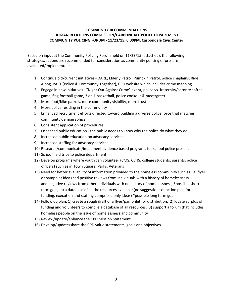#### **COMMUNITY RECOMMENDATIONS HUMAN RELATIONS COMMISSION/CARBONDALE POLICE DEPARTMENT COMMUNITY POLICING FORUM ‐ 11/23/15, 6:00PM, Carbondale Civic Center**

Based on input at the Community Policing Forum held on 11/23/15 (attached), the following strategies/actions are recommended for consideration as community policing efforts are evaluated/implemented:

- 1) Continue old/current initiatives ‐ DARE, Elderly Patrol, Pumpkin Patrol, police chaplains, Ride Along, PACT (Police & Community Together), CPD website which includes crime mapping
- 2) Engage in new initiatives "Night Out Against Crime" event, police vs. fraternity/sorority softball game, flag football game, 3 on 1 basketball, police cookout & meet/greet
- 3) More foot/bike patrols, more community visibility, more trust
- 4) More police residing in the community
- 5) Enhanced recruitment efforts directed toward building a diverse police force that matches community demographics
- 6) Consistent application of procedures
- 7) Enhanced public education ‐ the public needs to know why the police do what they do
- 8) Increased public education on advocacy services
- 9) Increased staffing for advocacy services
- 10) Research/communicate/implement evidence based programs for school police presence
- 11) School field trips to police department
- 12) Develop programs where youth can volunteer (CMS, CCHS, college students, parents, police officers) such as in Town Square, Parks, Veterans
- 13) Need for better availability of information provided to the homeless community such as: a) flyer or pamphlet idea (had positive reviews from individuals with a history of homelessness and negative reviews from other individuals with no history of homelessness) \*possible short term goal; b) a database of all the resources available (no suggestions or action plan for funding, execution and staffing comprised only ideas) \*possible long term goal
- 14) Follow up plan: 1) create a rough draft of a flyer/pamphlet for distribution; 2) locate surplus of funding and volunteers to compile a database of all resources; 3) support a forum that includes homeless people on the issue of homelessness and community
- 15) Review/update/enhance the CPD Mission Statement
- 16) Develop/update/share the CPD value statements, goals and objectives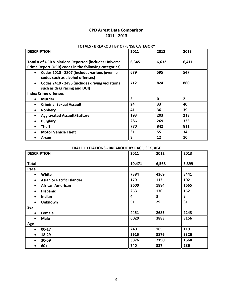# **CPD Arrest Data Comparison 2011 ‐ 2013**

#### **TOTALS ‐ BREAKOUT BY OFFENSE CATEGORY**

| <b>DESCRIPTION</b>                                          | 2011                    | 2012  | 2013           |
|-------------------------------------------------------------|-------------------------|-------|----------------|
|                                                             |                         |       |                |
| Total # of UCR Violations Reported {includes Universal      | 6,345                   | 6,632 | 6,411          |
| Crime Report (UCR) codes in the following categories}       |                         |       |                |
| Codes 2010 - 2807 (includes various juvenile                | 679                     | 595   | 547            |
| codes such as alcohol offenses)                             |                         |       |                |
| Codes 2410 - 2495 (includes driving violations<br>$\bullet$ | 712                     | 824   | 860            |
| such as drag racing and DUI)                                |                         |       |                |
| <b>Index Crime offenses</b>                                 |                         |       |                |
| <b>Murder</b><br>$\bullet$                                  | $\overline{\mathbf{3}}$ | 0     | $\overline{2}$ |
| <b>Criminal Sexual Assault</b>                              | 24                      | 33    | 40             |
| Robbery<br>$\bullet$                                        | 41                      | 36    | 39             |
| <b>Aggravated Assault/Battery</b>                           | 193                     | 203   | 213            |
| <b>Burglary</b>                                             | 286                     | 269   | 326            |
| Theft                                                       | 770                     | 842   | 811            |
| <b>Motor Vehicle Theft</b>                                  | 31                      | 55    | 34             |
| Arson                                                       | 8                       | 12    | 10             |

#### **TRAFFIC CITATIONS ‐ BREAKOUT BY RACE, SEX, AGE**

| <b>DESCRIPTION</b>                            | 2011   | 2012  | 2013  |
|-----------------------------------------------|--------|-------|-------|
| <b>Total</b>                                  | 10,471 | 6,568 | 5,399 |
| Race                                          |        |       |       |
| White<br>$\bullet$                            | 7384   | 4369  | 3441  |
| <b>Asian or Pacific Islander</b><br>$\bullet$ | 179    | 113   | 102   |
| <b>African American</b><br>$\bullet$          | 2600   | 1884  | 1665  |
| <b>Hispanic</b><br>$\bullet$                  | 253    | 170   | 152   |
| Indian<br>$\bullet$                           | 4      | 3     | 8     |
| <b>Unknown</b><br>$\bullet$                   | 51     | 29    | 31    |
| Sex                                           |        |       |       |
| Female<br>$\bullet$                           | 4451   | 2685  | 2243  |
| <b>Male</b><br>$\bullet$                      | 6020   | 3883  | 3156  |
| Age                                           |        |       |       |
| $00-17$<br>$\bullet$                          | 240    | 165   | 119   |
| 18-29<br>$\bullet$                            | 5615   | 3876  | 3326  |
| 30-59                                         | 3876   | 2190  | 1668  |
| $60+$<br>٠                                    | 740    | 337   | 286   |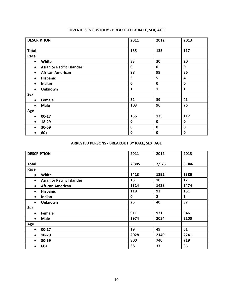| <b>DESCRIPTION</b>                            | 2011        | 2012        | 2013        |
|-----------------------------------------------|-------------|-------------|-------------|
| <b>Total</b>                                  | 135         | 135         | 117         |
| Race                                          |             |             |             |
| White<br>$\bullet$                            | 33          | 30          | 20          |
| <b>Asian or Pacific Islander</b><br>$\bullet$ | 0           | 0           | $\mathbf 0$ |
| <b>African American</b><br>$\bullet$          | 98          | 99          | 86          |
| Hispanic<br>$\bullet$                         | 3           | 5           | 4           |
| Indian<br>$\bullet$                           | $\mathbf 0$ | 0           | $\mathbf 0$ |
| <b>Unknown</b><br>$\bullet$                   | 1           | 1           | 1           |
| Sex                                           |             |             |             |
| Female<br>$\bullet$                           | 32          | 39          | 41          |
| <b>Male</b><br>$\bullet$                      | 103         | 96          | 76          |
| Age                                           |             |             |             |
| $00-17$<br>$\bullet$                          | 135         | 135         | 117         |
| 18-29<br>$\bullet$                            | $\mathbf 0$ | 0           | $\mathbf 0$ |
| 30-59<br>$\bullet$                            | $\mathbf 0$ | $\mathbf 0$ | $\mathbf 0$ |
| $60+$                                         | 0           | 0           | $\mathbf 0$ |

# **JUVENILES IN CUSTODY ‐ BREAKOUT BY RACE, SEX, AGE**

# **ARRESTED PERSONS ‐ BREAKOUT BY RACE, SEX, AGE**

| <b>DESCRIPTION</b>                            | 2011        | 2012           | 2013  |
|-----------------------------------------------|-------------|----------------|-------|
| <b>Total</b>                                  | 2,885       | 2,975          | 3,046 |
| Race                                          |             |                |       |
| White<br>$\bullet$                            | 1413        | 1392           | 1386  |
| <b>Asian or Pacific Islander</b><br>$\bullet$ | 15          | 10             | 17    |
| <b>African American</b><br>$\bullet$          | 1314        | 1438           | 1474  |
| <b>Hispanic</b><br>$\bullet$                  | 118         | 93             | 131   |
| Indian<br>$\bullet$                           | $\mathbf 0$ | $\overline{2}$ | 1     |
| <b>Unknown</b><br>$\bullet$                   | 25          | 40             | 37    |
| Sex                                           |             |                |       |
| Female<br>$\bullet$                           | 911         | 921            | 946   |
| <b>Male</b><br>$\bullet$                      | 1974        | 2054           | 2100  |
| Age                                           |             |                |       |
| $00-17$<br>$\bullet$                          | 19          | 49             | 51    |
| 18-29<br>$\bullet$                            | 2028        | 2149           | 2241  |
| 30-59<br>$\bullet$                            | 800         | 740            | 719   |
| $60+$                                         | 38          | 37             | 35    |